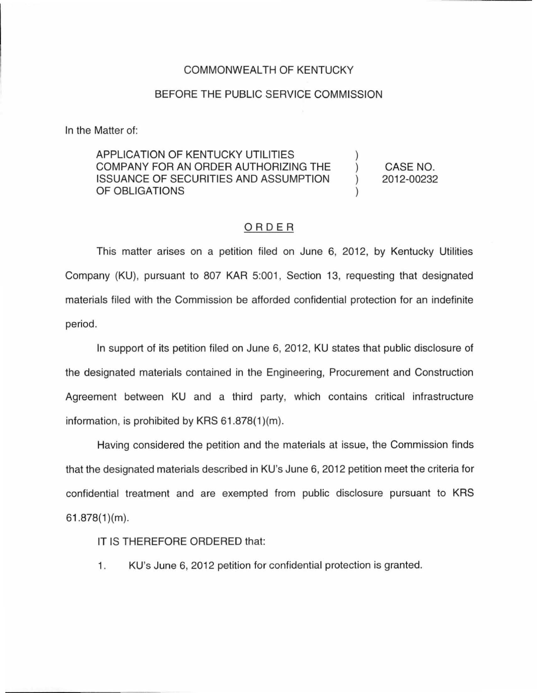## COMMONWEALTH OF KENTUCKY

## BEFORE THE PUBLIC SERVICE COMMISSION

In the Matter of:

APPLICATION OF KENTUCKY UTILITIES COMPANY FOR AN ORDER AUTHORIZING THE ISSUANCE OF SECURITIES AND ASSUMPTION OF OBLIGATIONS ) ) ) )

CASE NO. 2012-00232

## ORDER

This matter arises on a petition filed on June 6, 2012, by Kentucky Utilities Company (KU), pursuant to 807 KAR 5:001, Section 13, requesting that designated materials filed with the Commission be afforded confidential protection for an indefinite period.

In support of its petition filed on June 6, 2012, KU states that public disclosure of the designated materials contained in the Engineering, Procurement and Construction Agreement between KU and a third party, which contains critical infrastructure information, is prohibited by KRS  $61.878(1)(m)$ .

Having considered the petition and the materials at issue, the Commission finds that the designated materials described in KU's June 6, 2012 petition meet the criteria for confidential treatment and are exempted from public disclosure pursuant to KRS  $61.878(1)(m)$ .

IT IS THEREFORE ORDERED that:

1. KU's June 6, 2012 petition for confidential protection is granted.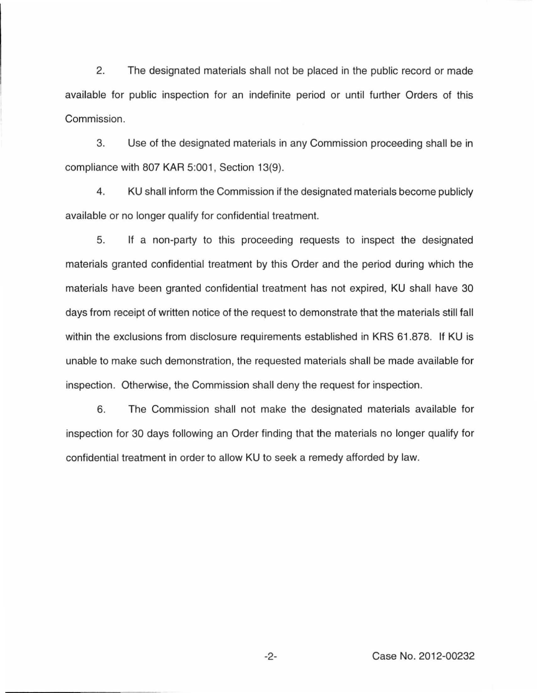2. The designated materials shall not be placed in the public record or made available for public inspection for an indefinite period or until further Orders of this Commission.

3. Use of the designated materials in any Commission proceeding shall be in compliance with 807 KAR 5:001, Section 13(9).

4. KU shall inform the Commission if the designated materials become publicly available or no longer qualify for confidential treatment.

5. If a non-party to this proceeding requests to inspect the designated materials granted confidential treatment by this Order and the period during which the materials have been granted confidential treatment has not expired, KU shall have 30 days from receipt of written notice of the request to demonstrate that the materials still fall within the exclusions from disclosure requirements established in KRS 61.878. If KU is unable to make such demonstration, the requested materials shall be made available for inspection. Otherwise, the Commission shall deny the request for inspection.

6. The Commission shall not make the designated materials available for inspection for 30 days following an Order finding that the materials no longer qualify for confidential treatment in order to allow KU to seek a remedy afforded by law.

-2- Case No. 2012-00232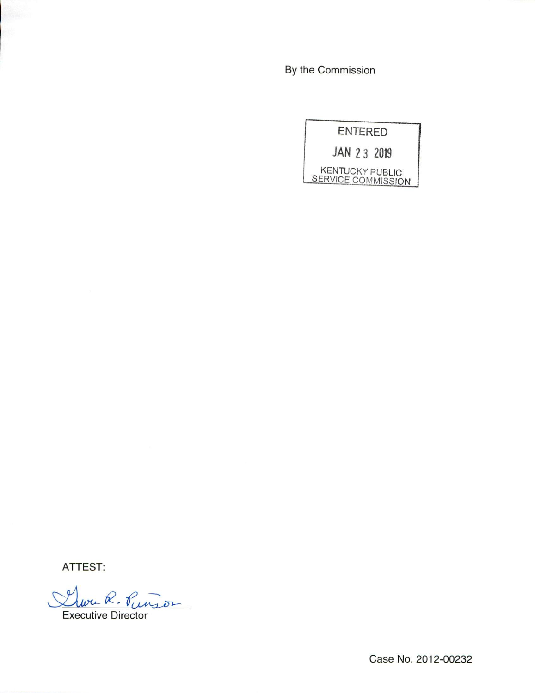By the Commission

|                                                     | <b>ENTERED</b> |
|-----------------------------------------------------|----------------|
| JAN 2 3 2019                                        |                |
| <b>KENTUCKY PUBLIC</b><br><b>SERVICE COMMISSION</b> |                |

ATTEST:

 $\sim$   $\alpha$ 

Clura R. Pungos